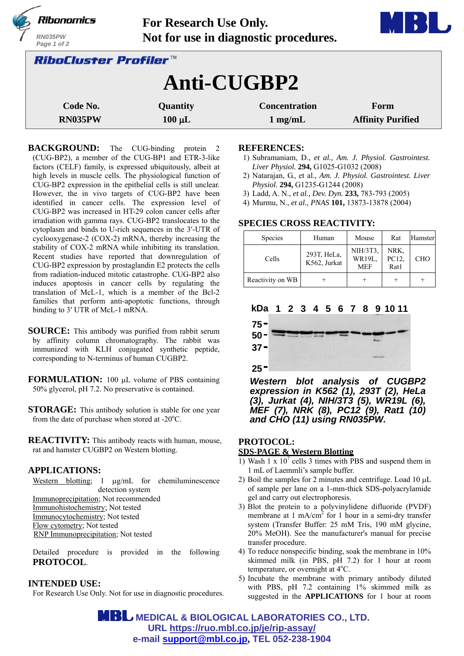|                                     | Ribonomics             | For Research Use Only. |                                       |                          |  |  |
|-------------------------------------|------------------------|------------------------|---------------------------------------|--------------------------|--|--|
|                                     | RN035PW<br>Page 1 of 2 |                        | Not for use in diagnostic procedures. |                          |  |  |
| <i><b>RiboCluster Profiler™</b></i> |                        |                        |                                       |                          |  |  |
|                                     | Anti-CUGBP2            |                        |                                       |                          |  |  |
|                                     | Code No.               | Quantity               | <b>Concentration</b>                  | Form                     |  |  |
|                                     | RN035PW                | $100 \mu L$            | $1$ mg/mL                             | <b>Affinity Purified</b> |  |  |

**BACKGROUND:** The CUG-binding protein 2 (CUG-BP2), a member of the CUG-BP1 and ETR-3-like factors (CELF) family, is expressed ubiquitously, albeit at high levels in muscle cells. The physiological function of CUG-BP2 expression in the epithelial cells is still unclear. However, the in vivo targets of CUG-BP2 have been identified in cancer cells. The expression level of CUG-BP2 was increased in HT-29 colon cancer cells after irradiation with gamma rays. CUG-BP2 translocates to the cytoplasm and binds to U-rich sequences in the 3′-UTR of cyclooxygenase-2 (COX-2) mRNA, thereby increasing the stability of COX-2 mRNA while inhibiting its translation. Recent studies have reported that downregulation of CUG-BP2 expression by prostaglandin E2 protects the cells from radiation-induced mitotic catastrophe. CUG-BP2 also induces apoptosis in cancer cells by regulating the translation of McL-1, which is a member of the Bcl-2 families that perform anti-apoptotic functions, through binding to 3′ UTR of McL-1 mRNA.

**SOURCE:** This antibody was purified from rabbit serum by affinity column chromatography. The rabbit was immunized with KLH conjugated synthetic peptide, corresponding to N-terminus of human CUGBP2.

**FORMULATION:** 100 µL volume of PBS containing 50% glycerol, pH 7.2. No preservative is contained.

**STORAGE:** This antibody solution is stable for one year from the date of purchase when stored at - $20^{\circ}$ C.

**REACTIVITY:** This antibody reacts with human, mouse, rat and hamster CUGBP2 on Western blotting.

## **APPLICATIONS:**

Western blotting;  $1 \mu g/mL$  for chemiluminescence detection system Immunoprecipitation; Not recommended

Immunohistochemistry; Not tested Immunocytochemistry; Not tested Flow cytometry; Not tested RNP Immunoprecipitation; Not tested

Detailed procedure is provided in the following **PROTOCOL**.

### **INTENDED USE:**

For Research Use Only. Not for use in diagnostic procedures.

#### **REFERENCES:**

1) Subramaniam, D., *et al., Am. J. Physiol. Gastrointest. Liver Physiol.* **294,** G1025-G1032 (2008)

**The Common Street** 

- 2) Natarajan, G., et al., *Am. J. Physiol. Gastrointest. Liver Physiol.* **294,** G1235-G1244 (2008)
- 3) Ladd, A. N., *et al., Dev. Dyn.* **233,** 783-793 (2005)
- 4) Murmu, N., *et al., PNAS* **101,** 13873-13878 (2004)

### **SPECIES CROSS REACTIVITY:**

| <b>Species</b>   | Human                       | Mouse                                   | Rat                   | Hamster |
|------------------|-----------------------------|-----------------------------------------|-----------------------|---------|
| Cells            | 293T, HeLa,<br>K562, Jurkat | NIH/3T3,<br><b>WR19L.</b><br><b>MEF</b> | NRK.<br>PC12,<br>Rat1 | CHO     |
| Reactivity on WB |                             |                                         |                       |         |



*Western blot analysis of CUGBP2 expression in K562 (1), 293T (2), HeLa (3), Jurkat (4), NIH/3T3 (5), WR19L (6), MEF (7), NRK (8), PC12 (9), Rat1 (10) and CHO (11) using RN035PW.*

## **PROTOCOL:**

### **SDS-PAGE & Western Blotting**

- 1) Wash 1  $\times$  10<sup>7</sup> cells 3 times with PBS and suspend them in 1 mL of Laemmli's sample buffer.
- 2) Boil the samples for 2 minutes and centrifuge. Load  $10 \mu L$ of sample per lane on a 1-mm-thick SDS-polyacrylamide gel and carry out electrophoresis.
- 3) Blot the protein to a polyvinylidene difluoride (PVDF) membrane at 1 mA/cm<sup>2</sup> for 1 hour in a semi-dry transfer system (Transfer Buffer: 25 mM Tris, 190 mM glycine, 20% MeOH). See the manufacturer's manual for precise transfer procedure.
- 4) To reduce nonspecific binding, soak the membrane in 10% skimmed milk (in PBS, pH 7.2) for 1 hour at room temperature, or overnight at 4°C.
- 5) Incubate the membrane with primary antibody diluted with PBS, pH 7.2 containing 1% skimmed milk as suggested in the **APPLICATIONS** for 1 hour at room

**MBL** MEDICAL & BIOLOGICAL LABORATORIES CO., LTD. **URL https://ruo.mbl.co.jp/je/rip-assay/ e-mail support@mbl.co.jp, TEL 052-238-1904**